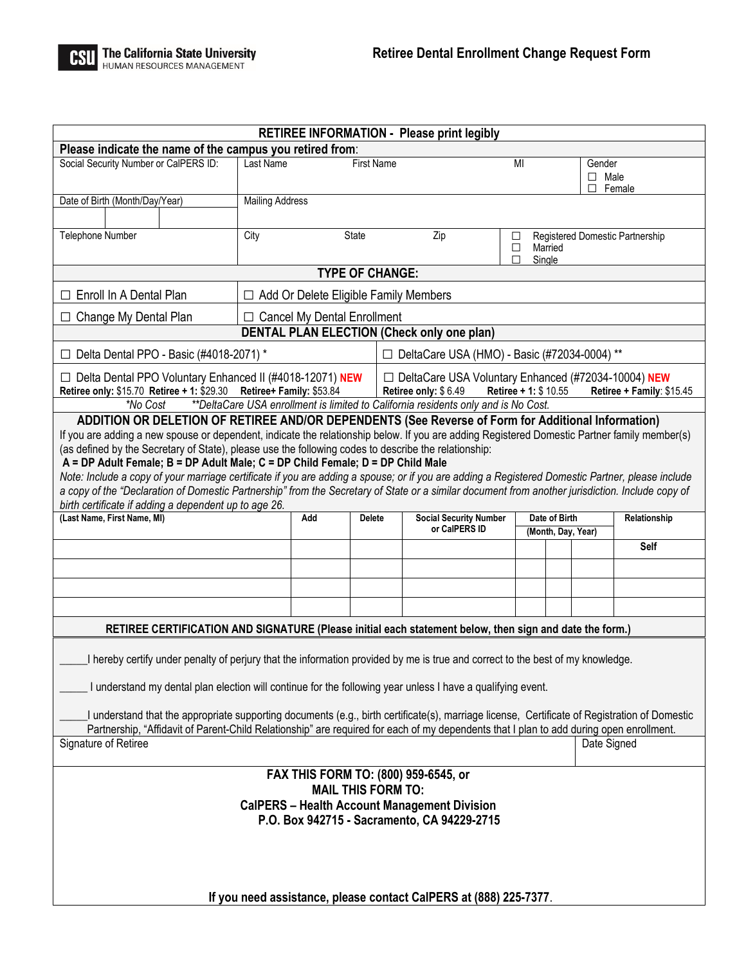

|                                                                                                                                                                                                                                                                                                                                                                                                                                                                                                                                                                                                                                                                                                                                                                                                               |                                              |               |                                                | <b>RETIREE INFORMATION - Please print legibly</b>                                                                                   |                                     |                                                      |             |  |
|---------------------------------------------------------------------------------------------------------------------------------------------------------------------------------------------------------------------------------------------------------------------------------------------------------------------------------------------------------------------------------------------------------------------------------------------------------------------------------------------------------------------------------------------------------------------------------------------------------------------------------------------------------------------------------------------------------------------------------------------------------------------------------------------------------------|----------------------------------------------|---------------|------------------------------------------------|-------------------------------------------------------------------------------------------------------------------------------------|-------------------------------------|------------------------------------------------------|-------------|--|
| Please indicate the name of the campus you retired from:                                                                                                                                                                                                                                                                                                                                                                                                                                                                                                                                                                                                                                                                                                                                                      |                                              |               |                                                |                                                                                                                                     |                                     |                                                      |             |  |
| Social Security Number or CalPERS ID:                                                                                                                                                                                                                                                                                                                                                                                                                                                                                                                                                                                                                                                                                                                                                                         | Last Name<br><b>First Name</b>               |               |                                                |                                                                                                                                     | MI                                  | Gender<br>$\Box$ Male<br>П<br>Female                 |             |  |
| Date of Birth (Month/Day/Year)                                                                                                                                                                                                                                                                                                                                                                                                                                                                                                                                                                                                                                                                                                                                                                                | <b>Mailing Address</b>                       |               |                                                |                                                                                                                                     |                                     |                                                      |             |  |
| Telephone Number                                                                                                                                                                                                                                                                                                                                                                                                                                                                                                                                                                                                                                                                                                                                                                                              | City                                         |               | State                                          | Zip                                                                                                                                 | $\Box$<br>$\Box$<br>П               | Registered Domestic Partnership<br>Married<br>Single |             |  |
| <b>TYPE OF CHANGE:</b>                                                                                                                                                                                                                                                                                                                                                                                                                                                                                                                                                                                                                                                                                                                                                                                        |                                              |               |                                                |                                                                                                                                     |                                     |                                                      |             |  |
| Enroll In A Dental Plan<br>$\perp$                                                                                                                                                                                                                                                                                                                                                                                                                                                                                                                                                                                                                                                                                                                                                                            | $\Box$ Add Or Delete Eligible Family Members |               |                                                |                                                                                                                                     |                                     |                                                      |             |  |
| Change My Dental Plan<br>⊔                                                                                                                                                                                                                                                                                                                                                                                                                                                                                                                                                                                                                                                                                                                                                                                    | $\Box$ Cancel My Dental Enrollment           |               |                                                |                                                                                                                                     |                                     |                                                      |             |  |
| <b>DENTAL PLAN ELECTION (Check only one plan)</b>                                                                                                                                                                                                                                                                                                                                                                                                                                                                                                                                                                                                                                                                                                                                                             |                                              |               |                                                |                                                                                                                                     |                                     |                                                      |             |  |
| $\Box$ Delta Dental PPO - Basic (#4018-2071) *                                                                                                                                                                                                                                                                                                                                                                                                                                                                                                                                                                                                                                                                                                                                                                |                                              |               |                                                | □ DeltaCare USA (HMO) - Basic (#72034-0004) **                                                                                      |                                     |                                                      |             |  |
| $\Box$ Delta Dental PPO Voluntary Enhanced II (#4018-12071) NEW<br>Retiree only: \$15.70 Retiree + 1: \$29.30 Retiree+ Family: \$53.84<br>**DeltaCare USA enrollment is limited to California residents only and is No Cost.<br>*No Cost                                                                                                                                                                                                                                                                                                                                                                                                                                                                                                                                                                      |                                              |               |                                                | □ DeltaCare USA Voluntary Enhanced (#72034-10004) NEW<br>Retiree only: \$6.49<br>Retiree + 1: \$ 10.55<br>Retiree + Family: \$15.45 |                                     |                                                      |             |  |
| ADDITION OR DELETION OF RETIREE AND/OR DEPENDENTS (See Reverse of Form for Additional Information)<br>If you are adding a new spouse or dependent, indicate the relationship below. If you are adding Registered Domestic Partner family member(s)<br>(as defined by the Secretary of State), please use the following codes to describe the relationship:<br>A = DP Adult Female; B = DP Adult Male; C = DP Child Female; D = DP Child Male<br>Note: Include a copy of your marriage certificate if you are adding a spouse; or if you are adding a Registered Domestic Partner, please include<br>a copy of the "Declaration of Domestic Partnership" from the Secretary of State or a similar document from another jurisdiction. Include copy of<br>birth certificate if adding a dependent up to age 26. |                                              |               |                                                |                                                                                                                                     |                                     |                                                      |             |  |
| (Last Name, First Name, MI)                                                                                                                                                                                                                                                                                                                                                                                                                                                                                                                                                                                                                                                                                                                                                                                   | Add                                          | <b>Delete</b> | <b>Social Security Number</b><br>or CalPERS ID |                                                                                                                                     | Date of Birth<br>(Month, Day, Year) | Relationship                                         |             |  |
|                                                                                                                                                                                                                                                                                                                                                                                                                                                                                                                                                                                                                                                                                                                                                                                                               |                                              |               |                                                |                                                                                                                                     |                                     |                                                      | <b>Self</b> |  |
|                                                                                                                                                                                                                                                                                                                                                                                                                                                                                                                                                                                                                                                                                                                                                                                                               |                                              |               |                                                |                                                                                                                                     |                                     |                                                      |             |  |
|                                                                                                                                                                                                                                                                                                                                                                                                                                                                                                                                                                                                                                                                                                                                                                                                               |                                              |               |                                                |                                                                                                                                     |                                     |                                                      |             |  |
|                                                                                                                                                                                                                                                                                                                                                                                                                                                                                                                                                                                                                                                                                                                                                                                                               |                                              |               |                                                |                                                                                                                                     |                                     |                                                      |             |  |
| RETIREE CERTIFICATION AND SIGNATURE (Please initial each statement below, then sign and date the form.)                                                                                                                                                                                                                                                                                                                                                                                                                                                                                                                                                                                                                                                                                                       |                                              |               |                                                |                                                                                                                                     |                                     |                                                      |             |  |
| I hereby certify under penalty of perjury that the information provided by me is true and correct to the best of my knowledge.<br>I understand my dental plan election will continue for the following year unless I have a qualifying event.                                                                                                                                                                                                                                                                                                                                                                                                                                                                                                                                                                 |                                              |               |                                                |                                                                                                                                     |                                     |                                                      |             |  |
| I understand that the appropriate supporting documents (e.g., birth certificate(s), marriage license, Certificate of Registration of Domestic<br>Partnership, "Affidavit of Parent-Child Relationship" are required for each of my dependents that I plan to add during open enrollment.<br>Date Signed<br>Signature of Retiree                                                                                                                                                                                                                                                                                                                                                                                                                                                                               |                                              |               |                                                |                                                                                                                                     |                                     |                                                      |             |  |
|                                                                                                                                                                                                                                                                                                                                                                                                                                                                                                                                                                                                                                                                                                                                                                                                               |                                              |               |                                                |                                                                                                                                     |                                     |                                                      |             |  |
| FAX THIS FORM TO: (800) 959-6545, or<br><b>MAIL THIS FORM TO:</b>                                                                                                                                                                                                                                                                                                                                                                                                                                                                                                                                                                                                                                                                                                                                             |                                              |               |                                                |                                                                                                                                     |                                     |                                                      |             |  |
| <b>CalPERS - Health Account Management Division</b><br>P.O. Box 942715 - Sacramento, CA 94229-2715                                                                                                                                                                                                                                                                                                                                                                                                                                                                                                                                                                                                                                                                                                            |                                              |               |                                                |                                                                                                                                     |                                     |                                                      |             |  |
| If you need assistance, please contact CalPERS at (888) 225-7377.                                                                                                                                                                                                                                                                                                                                                                                                                                                                                                                                                                                                                                                                                                                                             |                                              |               |                                                |                                                                                                                                     |                                     |                                                      |             |  |